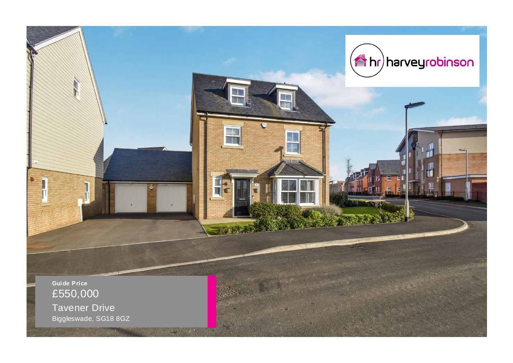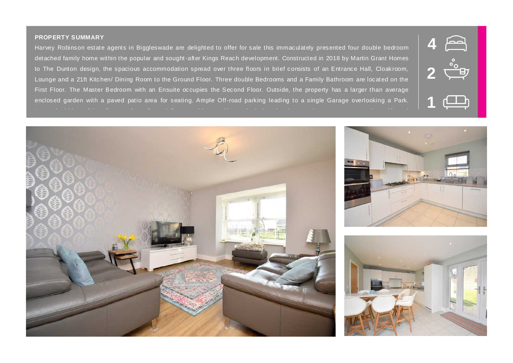## **PROPERTY SUMMARY**

Harvey Robinson estate agents in Biggleswade are delighted to offer for sale this immaculately presented four double bedroom detached family home within the popular and sought -after Kings Reach development. Constructed in 2018 by Martin Grant Homes to The Dunton design, the spacious accommodation spread over three floors in brief consists of an Entrance Hall, Cloakroom, Lounge and a 21ft Kitchen/ Dining Room to the Ground Floor. Three double Bedrooms and a Family Bathroom are located on the First Floor. The Master Bedroom with an Ensuite occupies the Second Floor. Outside, the property has a larger than average enclosed garden with a paved patio area for seating. Ample Off-road parking leading to a single Garage overlooking a Park.







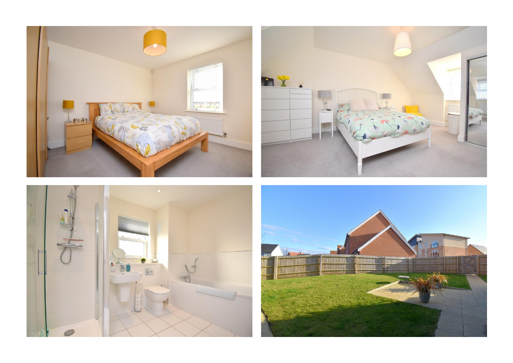